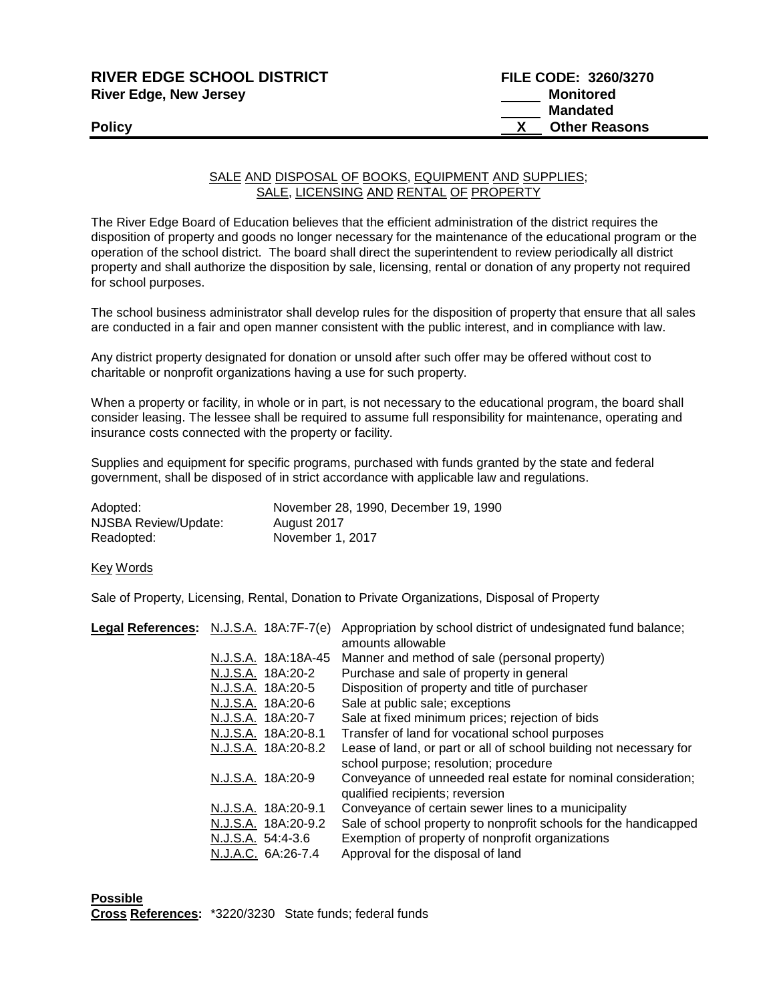| <b>RIVER EDGE SCHOOL DISTRICT</b> | <b>FILE CODE: 3260/3270</b> |
|-----------------------------------|-----------------------------|
| <b>River Edge, New Jersey</b>     | Monitored                   |
|                                   | Mandated                    |
| <b>Policy</b>                     | <b>Other Reasons</b>        |

## SALE AND DISPOSAL OF BOOKS, EQUIPMENT AND SUPPLIES; SALE, LICENSING AND RENTAL OF PROPERTY

The River Edge Board of Education believes that the efficient administration of the district requires the disposition of property and goods no longer necessary for the maintenance of the educational program or the operation of the school district. The board shall direct the superintendent to review periodically all district property and shall authorize the disposition by sale, licensing, rental or donation of any property not required for school purposes.

The school business administrator shall develop rules for the disposition of property that ensure that all sales are conducted in a fair and open manner consistent with the public interest, and in compliance with law.

Any district property designated for donation or unsold after such offer may be offered without cost to charitable or nonprofit organizations having a use for such property.

When a property or facility, in whole or in part, is not necessary to the educational program, the board shall consider leasing. The lessee shall be required to assume full responsibility for maintenance, operating and insurance costs connected with the property or facility.

Supplies and equipment for specific programs, purchased with funds granted by the state and federal government, shall be disposed of in strict accordance with applicable law and regulations.

| Adopted:             | November 28, 1990, December 19, 1990 |
|----------------------|--------------------------------------|
| NJSBA Review/Update: | August 2017                          |
| Readopted:           | November 1, 2017                     |

Key Words

Sale of Property, Licensing, Rental, Donation to Private Organizations, Disposal of Property

| Legal References: N.J.S.A. 18A:7F-7(e) | Appropriation by school district of undesignated fund balance;<br>amounts allowable                         |
|----------------------------------------|-------------------------------------------------------------------------------------------------------------|
| N.J.S.A. 18A:18A-45                    | Manner and method of sale (personal property)                                                               |
| N.J.S.A. 18A:20-2                      | Purchase and sale of property in general                                                                    |
| N.J.S.A. 18A:20-5                      | Disposition of property and title of purchaser                                                              |
| N.J.S.A. 18A:20-6                      | Sale at public sale; exceptions                                                                             |
| N.J.S.A. 18A:20-7                      | Sale at fixed minimum prices; rejection of bids                                                             |
| N.J.S.A. 18A:20-8.1                    | Transfer of land for vocational school purposes                                                             |
| N.J.S.A. 18A:20-8.2                    | Lease of land, or part or all of school building not necessary for<br>school purpose; resolution; procedure |
| N.J.S.A. 18A:20-9                      | Conveyance of unneeded real estate for nominal consideration;<br>qualified recipients; reversion            |
| N.J.S.A. 18A:20-9.1                    | Conveyance of certain sewer lines to a municipality                                                         |
| N.J.S.A. 18A:20-9.2                    | Sale of school property to nonprofit schools for the handicapped                                            |
| N.J.S.A. 54:4-3.6                      | Exemption of property of nonprofit organizations                                                            |
| N.J.A.C. 6A:26-7.4                     | Approval for the disposal of land                                                                           |

**Possible Cross References:** \*3220/3230 State funds; federal funds